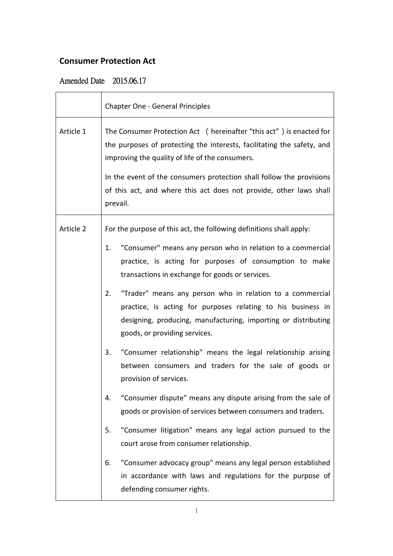## **Consumer Protection Act**

## Amended Date 2015.06.17

|           | <b>Chapter One - General Principles</b>                                                                                                                                                                                                                                                                                                                                                                                                                                                                                                                            |
|-----------|--------------------------------------------------------------------------------------------------------------------------------------------------------------------------------------------------------------------------------------------------------------------------------------------------------------------------------------------------------------------------------------------------------------------------------------------------------------------------------------------------------------------------------------------------------------------|
| Article 1 | The Consumer Protection Act ( hereinafter "this act" ) is enacted for<br>the purposes of protecting the interests, facilitating the safety, and<br>improving the quality of life of the consumers.<br>In the event of the consumers protection shall follow the provisions<br>of this act, and where this act does not provide, other laws shall<br>prevail.                                                                                                                                                                                                       |
| Article 2 | For the purpose of this act, the following definitions shall apply:<br>"Consumer" means any person who in relation to a commercial<br>1.<br>practice, is acting for purposes of consumption to make<br>transactions in exchange for goods or services.<br>"Trader" means any person who in relation to a commercial<br>2.<br>practice, is acting for purposes relating to his business in<br>designing, producing, manufacturing, importing or distributing<br>goods, or providing services.<br>"Consumer relationship" means the legal relationship arising<br>3. |
|           | between consumers and traders for the sale of goods or<br>provision of services.<br>"Consumer dispute" means any dispute arising from the sale of<br>4.<br>goods or provision of services between consumers and traders.                                                                                                                                                                                                                                                                                                                                           |
|           | "Consumer litigation" means any legal action pursued to the<br>5.<br>court arose from consumer relationship.                                                                                                                                                                                                                                                                                                                                                                                                                                                       |
|           | "Consumer advocacy group" means any legal person established<br>6.<br>in accordance with laws and regulations for the purpose of<br>defending consumer rights.                                                                                                                                                                                                                                                                                                                                                                                                     |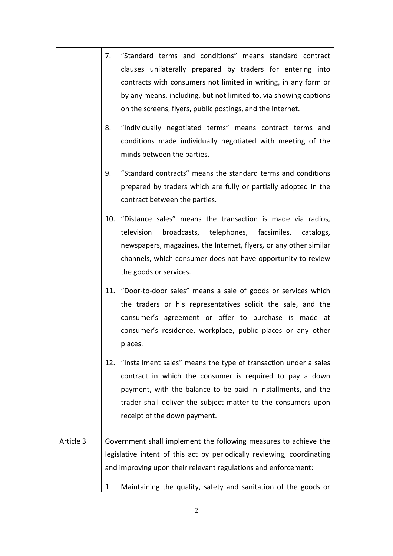|           | "Standard terms and conditions" means standard contract<br>7.<br>clauses unilaterally prepared by traders for entering into<br>contracts with consumers not limited in writing, in any form or<br>by any means, including, but not limited to, via showing captions<br>on the screens, flyers, public postings, and the Internet. |
|-----------|-----------------------------------------------------------------------------------------------------------------------------------------------------------------------------------------------------------------------------------------------------------------------------------------------------------------------------------|
|           | "Individually negotiated terms" means contract terms and<br>8.<br>conditions made individually negotiated with meeting of the<br>minds between the parties.                                                                                                                                                                       |
|           | "Standard contracts" means the standard terms and conditions<br>9.<br>prepared by traders which are fully or partially adopted in the<br>contract between the parties.                                                                                                                                                            |
|           | 10. "Distance sales" means the transaction is made via radios,<br>television<br>broadcasts, telephones, facsimiles,<br>catalogs,<br>newspapers, magazines, the Internet, flyers, or any other similar<br>channels, which consumer does not have opportunity to review<br>the goods or services.                                   |
|           | 11. "Door-to-door sales" means a sale of goods or services which<br>the traders or his representatives solicit the sale, and the<br>consumer's agreement or offer to purchase is made at<br>consumer's residence, workplace, public places or any other<br>places.                                                                |
|           | "Installment sales" means the type of transaction under a sales<br>12.<br>contract in which the consumer is required to pay a down<br>payment, with the balance to be paid in installments, and the<br>trader shall deliver the subject matter to the consumers upon<br>receipt of the down payment.                              |
| Article 3 | Government shall implement the following measures to achieve the<br>legislative intent of this act by periodically reviewing, coordinating<br>and improving upon their relevant regulations and enforcement:                                                                                                                      |
|           | Maintaining the quality, safety and sanitation of the goods or<br>1.                                                                                                                                                                                                                                                              |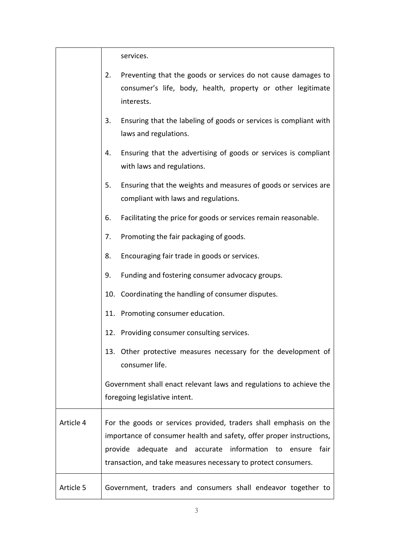services.

|           | 2.      | Preventing that the goods or services do not cause damages to<br>consumer's life, body, health, property or other legitimate<br>interests.                                                                                                                                     |
|-----------|---------|--------------------------------------------------------------------------------------------------------------------------------------------------------------------------------------------------------------------------------------------------------------------------------|
|           | 3.      | Ensuring that the labeling of goods or services is compliant with<br>laws and regulations.                                                                                                                                                                                     |
|           | 4.      | Ensuring that the advertising of goods or services is compliant<br>with laws and regulations.                                                                                                                                                                                  |
|           | 5.      | Ensuring that the weights and measures of goods or services are<br>compliant with laws and regulations.                                                                                                                                                                        |
|           | 6.      | Facilitating the price for goods or services remain reasonable.                                                                                                                                                                                                                |
|           | 7.      | Promoting the fair packaging of goods.                                                                                                                                                                                                                                         |
|           | 8.      | Encouraging fair trade in goods or services.                                                                                                                                                                                                                                   |
|           | 9.      | Funding and fostering consumer advocacy groups.                                                                                                                                                                                                                                |
|           |         | 10. Coordinating the handling of consumer disputes.                                                                                                                                                                                                                            |
|           |         | 11. Promoting consumer education.                                                                                                                                                                                                                                              |
|           |         | 12. Providing consumer consulting services.                                                                                                                                                                                                                                    |
|           |         | 13. Other protective measures necessary for the development of<br>consumer life.                                                                                                                                                                                               |
|           |         | Government shall enact relevant laws and regulations to achieve the<br>foregoing legislative intent.                                                                                                                                                                           |
| Article 4 | provide | For the goods or services provided, traders shall emphasis on the<br>importance of consumer health and safety, offer proper instructions,<br>adequate<br>accurate information<br>fair<br>and<br>to<br>ensure<br>transaction, and take measures necessary to protect consumers. |
| Article 5 |         | Government, traders and consumers shall endeavor together to                                                                                                                                                                                                                   |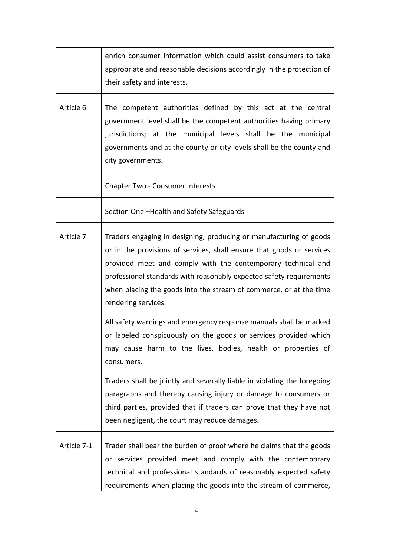|             | enrich consumer information which could assist consumers to take<br>appropriate and reasonable decisions accordingly in the protection of<br>their safety and interests.                                                                                                                                                                                                        |
|-------------|---------------------------------------------------------------------------------------------------------------------------------------------------------------------------------------------------------------------------------------------------------------------------------------------------------------------------------------------------------------------------------|
| Article 6   | The competent authorities defined by this act at the central<br>government level shall be the competent authorities having primary<br>jurisdictions; at the municipal levels shall be the municipal<br>governments and at the county or city levels shall be the county and<br>city governments.                                                                                |
|             | <b>Chapter Two - Consumer Interests</b>                                                                                                                                                                                                                                                                                                                                         |
|             | Section One -Health and Safety Safeguards                                                                                                                                                                                                                                                                                                                                       |
| Article 7   | Traders engaging in designing, producing or manufacturing of goods<br>or in the provisions of services, shall ensure that goods or services<br>provided meet and comply with the contemporary technical and<br>professional standards with reasonably expected safety requirements<br>when placing the goods into the stream of commerce, or at the time<br>rendering services. |
|             | All safety warnings and emergency response manuals shall be marked<br>or labeled conspicuously on the goods or services provided which<br>may cause harm to the lives, bodies, health or properties of<br>consumers.                                                                                                                                                            |
|             | Traders shall be jointly and severally liable in violating the foregoing<br>paragraphs and thereby causing injury or damage to consumers or<br>third parties, provided that if traders can prove that they have not<br>been negligent, the court may reduce damages.                                                                                                            |
| Article 7-1 | Trader shall bear the burden of proof where he claims that the goods<br>or services provided meet and comply with the contemporary<br>technical and professional standards of reasonably expected safety<br>requirements when placing the goods into the stream of commerce,                                                                                                    |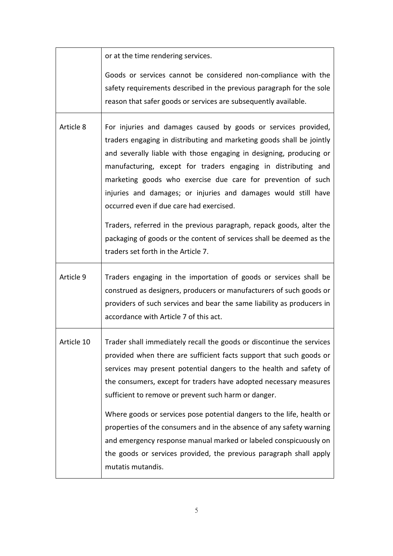|            | or at the time rendering services.                                                                                                                                                                                                                                                                                                                                                                                                                             |
|------------|----------------------------------------------------------------------------------------------------------------------------------------------------------------------------------------------------------------------------------------------------------------------------------------------------------------------------------------------------------------------------------------------------------------------------------------------------------------|
|            | Goods or services cannot be considered non-compliance with the<br>safety requirements described in the previous paragraph for the sole<br>reason that safer goods or services are subsequently available.                                                                                                                                                                                                                                                      |
| Article 8  | For injuries and damages caused by goods or services provided,<br>traders engaging in distributing and marketing goods shall be jointly<br>and severally liable with those engaging in designing, producing or<br>manufacturing, except for traders engaging in distributing and<br>marketing goods who exercise due care for prevention of such<br>injuries and damages; or injuries and damages would still have<br>occurred even if due care had exercised. |
|            | Traders, referred in the previous paragraph, repack goods, alter the<br>packaging of goods or the content of services shall be deemed as the<br>traders set forth in the Article 7.                                                                                                                                                                                                                                                                            |
| Article 9  | Traders engaging in the importation of goods or services shall be<br>construed as designers, producers or manufacturers of such goods or<br>providers of such services and bear the same liability as producers in<br>accordance with Article 7 of this act.                                                                                                                                                                                                   |
| Article 10 | Trader shall immediately recall the goods or discontinue the services<br>provided when there are sufficient facts support that such goods or<br>services may present potential dangers to the health and safety of<br>the consumers, except for traders have adopted necessary measures<br>sufficient to remove or prevent such harm or danger.                                                                                                                |
|            | Where goods or services pose potential dangers to the life, health or<br>properties of the consumers and in the absence of any safety warning<br>and emergency response manual marked or labeled conspicuously on<br>the goods or services provided, the previous paragraph shall apply<br>mutatis mutandis.                                                                                                                                                   |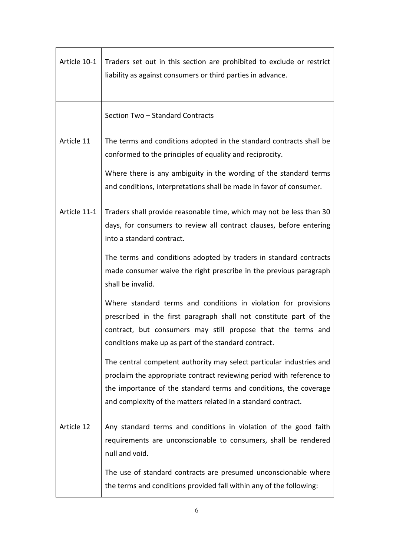| Article 10-1 | Traders set out in this section are prohibited to exclude or restrict<br>liability as against consumers or third parties in advance.                                                                                                                                               |
|--------------|------------------------------------------------------------------------------------------------------------------------------------------------------------------------------------------------------------------------------------------------------------------------------------|
|              | Section Two - Standard Contracts                                                                                                                                                                                                                                                   |
| Article 11   | The terms and conditions adopted in the standard contracts shall be<br>conformed to the principles of equality and reciprocity.                                                                                                                                                    |
|              | Where there is any ambiguity in the wording of the standard terms<br>and conditions, interpretations shall be made in favor of consumer.                                                                                                                                           |
| Article 11-1 | Traders shall provide reasonable time, which may not be less than 30<br>days, for consumers to review all contract clauses, before entering<br>into a standard contract.                                                                                                           |
|              | The terms and conditions adopted by traders in standard contracts<br>made consumer waive the right prescribe in the previous paragraph<br>shall be invalid.                                                                                                                        |
|              | Where standard terms and conditions in violation for provisions<br>prescribed in the first paragraph shall not constitute part of the<br>contract, but consumers may still propose that the terms and<br>conditions make up as part of the standard contract.                      |
|              | The central competent authority may select particular industries and<br>proclaim the appropriate contract reviewing period with reference to<br>the importance of the standard terms and conditions, the coverage<br>and complexity of the matters related in a standard contract. |
| Article 12   | Any standard terms and conditions in violation of the good faith<br>requirements are unconscionable to consumers, shall be rendered<br>null and void.                                                                                                                              |
|              | The use of standard contracts are presumed unconscionable where<br>the terms and conditions provided fall within any of the following:                                                                                                                                             |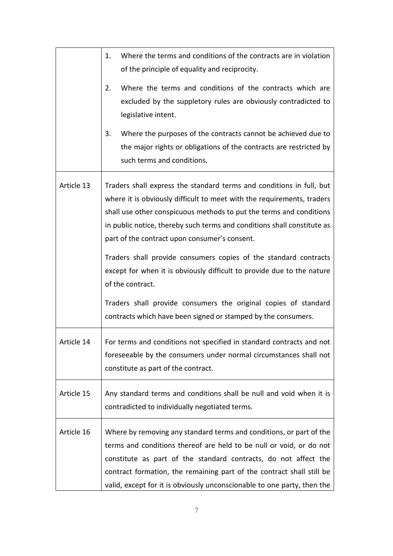|            | Where the terms and conditions of the contracts are in violation<br>1.<br>of the principle of equality and reciprocity.                                                                                                                                                                                                                                           |
|------------|-------------------------------------------------------------------------------------------------------------------------------------------------------------------------------------------------------------------------------------------------------------------------------------------------------------------------------------------------------------------|
|            | Where the terms and conditions of the contracts which are<br>2.<br>excluded by the suppletory rules are obviously contradicted to<br>legislative intent.                                                                                                                                                                                                          |
|            | Where the purposes of the contracts cannot be achieved due to<br>3.<br>the major rights or obligations of the contracts are restricted by<br>such terms and conditions.                                                                                                                                                                                           |
| Article 13 | Traders shall express the standard terms and conditions in full, but<br>where it is obviously difficult to meet with the requirements, traders<br>shall use other conspicuous methods to put the terms and conditions<br>in public notice, thereby such terms and conditions shall constitute as<br>part of the contract upon consumer's consent.                 |
|            | Traders shall provide consumers copies of the standard contracts<br>except for when it is obviously difficult to provide due to the nature<br>of the contract.                                                                                                                                                                                                    |
|            | Traders shall provide consumers the original copies of standard<br>contracts which have been signed or stamped by the consumers.                                                                                                                                                                                                                                  |
| Article 14 | For terms and conditions not specified in standard contracts and not<br>foreseeable by the consumers under normal circumstances shall not<br>constitute as part of the contract.                                                                                                                                                                                  |
| Article 15 | Any standard terms and conditions shall be null and void when it is<br>contradicted to individually negotiated terms.                                                                                                                                                                                                                                             |
| Article 16 | Where by removing any standard terms and conditions, or part of the<br>terms and conditions thereof are held to be null or void, or do not<br>constitute as part of the standard contracts, do not affect the<br>contract formation, the remaining part of the contract shall still be<br>valid, except for it is obviously unconscionable to one party, then the |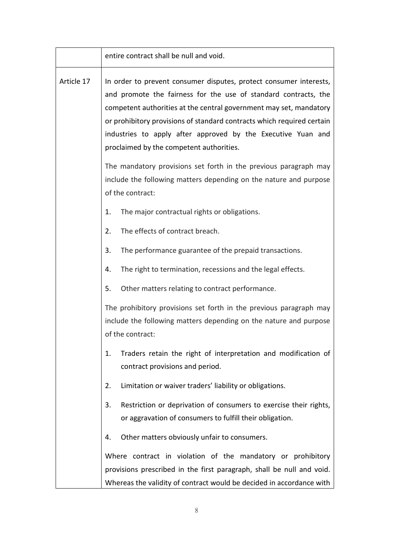|            | entire contract shall be null and void.                                                                                                                                                                                                                                                                                                                                                           |
|------------|---------------------------------------------------------------------------------------------------------------------------------------------------------------------------------------------------------------------------------------------------------------------------------------------------------------------------------------------------------------------------------------------------|
| Article 17 | In order to prevent consumer disputes, protect consumer interests,<br>and promote the fairness for the use of standard contracts, the<br>competent authorities at the central government may set, mandatory<br>or prohibitory provisions of standard contracts which required certain<br>industries to apply after approved by the Executive Yuan and<br>proclaimed by the competent authorities. |
|            | The mandatory provisions set forth in the previous paragraph may<br>include the following matters depending on the nature and purpose<br>of the contract:                                                                                                                                                                                                                                         |
|            | The major contractual rights or obligations.<br>1.                                                                                                                                                                                                                                                                                                                                                |
|            | The effects of contract breach.<br>2.                                                                                                                                                                                                                                                                                                                                                             |
|            | 3.<br>The performance guarantee of the prepaid transactions.                                                                                                                                                                                                                                                                                                                                      |
|            | The right to termination, recessions and the legal effects.<br>4.                                                                                                                                                                                                                                                                                                                                 |
|            | Other matters relating to contract performance.<br>5.                                                                                                                                                                                                                                                                                                                                             |
|            | The prohibitory provisions set forth in the previous paragraph may<br>include the following matters depending on the nature and purpose<br>of the contract:                                                                                                                                                                                                                                       |
|            | Traders retain the right of interpretation and modification of<br>1.<br>contract provisions and period.                                                                                                                                                                                                                                                                                           |
|            | Limitation or waiver traders' liability or obligations.<br>2.                                                                                                                                                                                                                                                                                                                                     |
|            | Restriction or deprivation of consumers to exercise their rights,<br>3.<br>or aggravation of consumers to fulfill their obligation.                                                                                                                                                                                                                                                               |
|            | Other matters obviously unfair to consumers.<br>4.                                                                                                                                                                                                                                                                                                                                                |
|            | Where contract in violation of the mandatory or prohibitory<br>provisions prescribed in the first paragraph, shall be null and void.<br>Whereas the validity of contract would be decided in accordance with                                                                                                                                                                                      |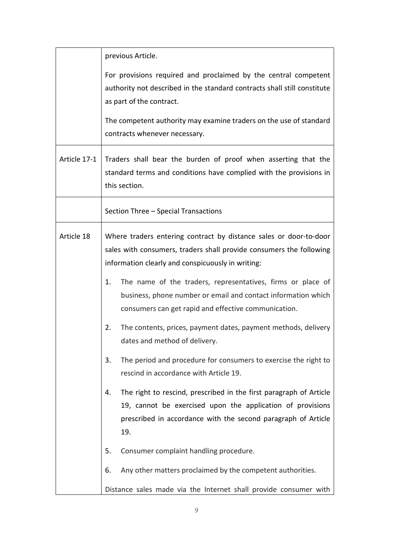|              | previous Article.                                                                                                                                                                                              |
|--------------|----------------------------------------------------------------------------------------------------------------------------------------------------------------------------------------------------------------|
|              | For provisions required and proclaimed by the central competent<br>authority not described in the standard contracts shall still constitute<br>as part of the contract.                                        |
|              | The competent authority may examine traders on the use of standard<br>contracts whenever necessary.                                                                                                            |
| Article 17-1 | Traders shall bear the burden of proof when asserting that the<br>standard terms and conditions have complied with the provisions in<br>this section.                                                          |
|              | Section Three - Special Transactions                                                                                                                                                                           |
| Article 18   | Where traders entering contract by distance sales or door-to-door<br>sales with consumers, traders shall provide consumers the following<br>information clearly and conspicuously in writing:                  |
|              | The name of the traders, representatives, firms or place of<br>1.<br>business, phone number or email and contact information which<br>consumers can get rapid and effective communication.                     |
|              | 2.<br>The contents, prices, payment dates, payment methods, delivery<br>dates and method of delivery.                                                                                                          |
|              | The period and procedure for consumers to exercise the right to<br>3.<br>rescind in accordance with Article 19.                                                                                                |
|              | The right to rescind, prescribed in the first paragraph of Article<br>4.<br>19, cannot be exercised upon the application of provisions<br>prescribed in accordance with the second paragraph of Article<br>19. |
|              | Consumer complaint handling procedure.<br>5.                                                                                                                                                                   |
|              | Any other matters proclaimed by the competent authorities.<br>6.                                                                                                                                               |
|              | Distance sales made via the Internet shall provide consumer with                                                                                                                                               |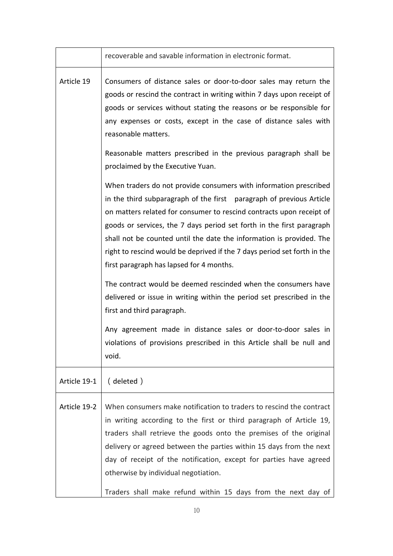|              | recoverable and savable information in electronic format.                                                                                                                                                                                                                                                                                                                                                                                                                                                                                                                                                                                                                                                                                                                                                              |
|--------------|------------------------------------------------------------------------------------------------------------------------------------------------------------------------------------------------------------------------------------------------------------------------------------------------------------------------------------------------------------------------------------------------------------------------------------------------------------------------------------------------------------------------------------------------------------------------------------------------------------------------------------------------------------------------------------------------------------------------------------------------------------------------------------------------------------------------|
| Article 19   | Consumers of distance sales or door-to-door sales may return the<br>goods or rescind the contract in writing within 7 days upon receipt of<br>goods or services without stating the reasons or be responsible for<br>any expenses or costs, except in the case of distance sales with<br>reasonable matters.                                                                                                                                                                                                                                                                                                                                                                                                                                                                                                           |
|              | Reasonable matters prescribed in the previous paragraph shall be<br>proclaimed by the Executive Yuan.                                                                                                                                                                                                                                                                                                                                                                                                                                                                                                                                                                                                                                                                                                                  |
|              | When traders do not provide consumers with information prescribed<br>in the third subparagraph of the first paragraph of previous Article<br>on matters related for consumer to rescind contracts upon receipt of<br>goods or services, the 7 days period set forth in the first paragraph<br>shall not be counted until the date the information is provided. The<br>right to rescind would be deprived if the 7 days period set forth in the<br>first paragraph has lapsed for 4 months.<br>The contract would be deemed rescinded when the consumers have<br>delivered or issue in writing within the period set prescribed in the<br>first and third paragraph.<br>Any agreement made in distance sales or door-to-door sales in<br>violations of provisions prescribed in this Article shall be null and<br>void. |
| Article 19-1 | (deleted)                                                                                                                                                                                                                                                                                                                                                                                                                                                                                                                                                                                                                                                                                                                                                                                                              |
| Article 19-2 | When consumers make notification to traders to rescind the contract<br>in writing according to the first or third paragraph of Article 19,<br>traders shall retrieve the goods onto the premises of the original<br>delivery or agreed between the parties within 15 days from the next<br>day of receipt of the notification, except for parties have agreed<br>otherwise by individual negotiation.<br>Traders shall make refund within 15 days from the next day of                                                                                                                                                                                                                                                                                                                                                 |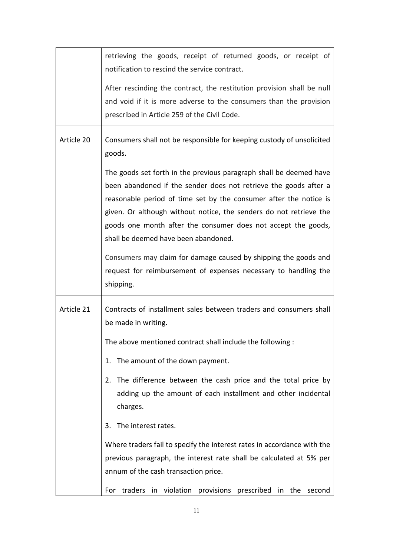|            | retrieving the goods, receipt of returned goods, or receipt of<br>notification to rescind the service contract.                                                                                                                                                                                                                                                                            |
|------------|--------------------------------------------------------------------------------------------------------------------------------------------------------------------------------------------------------------------------------------------------------------------------------------------------------------------------------------------------------------------------------------------|
|            | After rescinding the contract, the restitution provision shall be null<br>and void if it is more adverse to the consumers than the provision<br>prescribed in Article 259 of the Civil Code.                                                                                                                                                                                               |
| Article 20 | Consumers shall not be responsible for keeping custody of unsolicited<br>goods.                                                                                                                                                                                                                                                                                                            |
|            | The goods set forth in the previous paragraph shall be deemed have<br>been abandoned if the sender does not retrieve the goods after a<br>reasonable period of time set by the consumer after the notice is<br>given. Or although without notice, the senders do not retrieve the<br>goods one month after the consumer does not accept the goods,<br>shall be deemed have been abandoned. |
|            | Consumers may claim for damage caused by shipping the goods and<br>request for reimbursement of expenses necessary to handling the<br>shipping.                                                                                                                                                                                                                                            |
| Article 21 | Contracts of installment sales between traders and consumers shall<br>be made in writing.                                                                                                                                                                                                                                                                                                  |
|            | The above mentioned contract shall include the following:                                                                                                                                                                                                                                                                                                                                  |
|            | The amount of the down payment.<br>1.                                                                                                                                                                                                                                                                                                                                                      |
|            | The difference between the cash price and the total price by<br>2.<br>adding up the amount of each installment and other incidental<br>charges.                                                                                                                                                                                                                                            |
|            | The interest rates.<br>3.                                                                                                                                                                                                                                                                                                                                                                  |
|            | Where traders fail to specify the interest rates in accordance with the<br>previous paragraph, the interest rate shall be calculated at 5% per<br>annum of the cash transaction price.                                                                                                                                                                                                     |
|            | For traders in violation provisions prescribed in the second                                                                                                                                                                                                                                                                                                                               |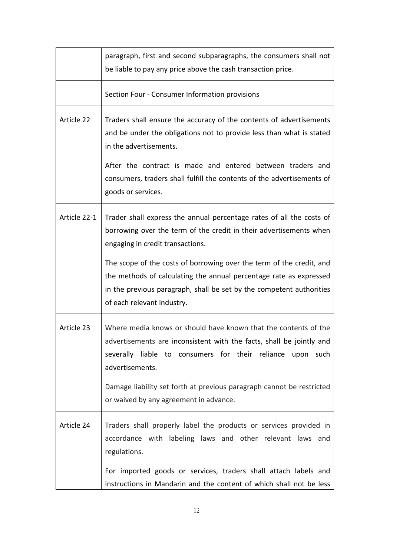|              | paragraph, first and second subparagraphs, the consumers shall not<br>be liable to pay any price above the cash transaction price.                                                                                                                                                                                                                                                                                                 |
|--------------|------------------------------------------------------------------------------------------------------------------------------------------------------------------------------------------------------------------------------------------------------------------------------------------------------------------------------------------------------------------------------------------------------------------------------------|
|              | Section Four - Consumer Information provisions                                                                                                                                                                                                                                                                                                                                                                                     |
| Article 22   | Traders shall ensure the accuracy of the contents of advertisements<br>and be under the obligations not to provide less than what is stated<br>in the advertisements.<br>After the contract is made and entered between traders and<br>consumers, traders shall fulfill the contents of the advertisements of<br>goods or services.                                                                                                |
| Article 22-1 | Trader shall express the annual percentage rates of all the costs of<br>borrowing over the term of the credit in their advertisements when<br>engaging in credit transactions.<br>The scope of the costs of borrowing over the term of the credit, and<br>the methods of calculating the annual percentage rate as expressed<br>in the previous paragraph, shall be set by the competent authorities<br>of each relevant industry. |
| Article 23   | Where media knows or should have known that the contents of the<br>advertisements are inconsistent with the facts, shall be jointly and<br>severally liable to consumers for their reliance upon such<br>advertisements.<br>Damage liability set forth at previous paragraph cannot be restricted<br>or waived by any agreement in advance.                                                                                        |
| Article 24   | Traders shall properly label the products or services provided in<br>accordance with labeling laws and other relevant laws and<br>regulations.<br>For imported goods or services, traders shall attach labels and<br>instructions in Mandarin and the content of which shall not be less                                                                                                                                           |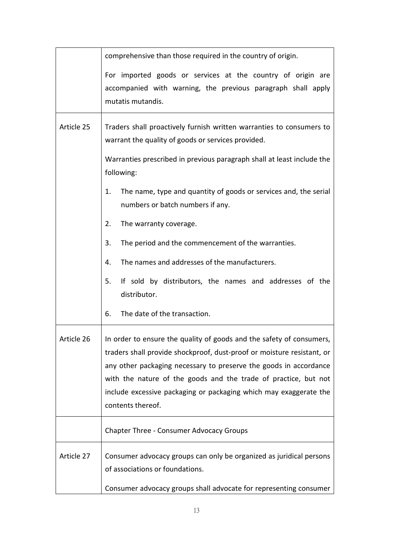|            | comprehensive than those required in the country of origin.                                                                                                                                                                                                                                                                                                                      |
|------------|----------------------------------------------------------------------------------------------------------------------------------------------------------------------------------------------------------------------------------------------------------------------------------------------------------------------------------------------------------------------------------|
|            | For imported goods or services at the country of origin are<br>accompanied with warning, the previous paragraph shall apply<br>mutatis mutandis.                                                                                                                                                                                                                                 |
| Article 25 | Traders shall proactively furnish written warranties to consumers to<br>warrant the quality of goods or services provided.<br>Warranties prescribed in previous paragraph shall at least include the<br>following:                                                                                                                                                               |
|            | The name, type and quantity of goods or services and, the serial<br>1.<br>numbers or batch numbers if any.                                                                                                                                                                                                                                                                       |
|            | The warranty coverage.<br>2.                                                                                                                                                                                                                                                                                                                                                     |
|            | The period and the commencement of the warranties.<br>3.                                                                                                                                                                                                                                                                                                                         |
|            | The names and addresses of the manufacturers.<br>4.                                                                                                                                                                                                                                                                                                                              |
|            | If sold by distributors, the names and addresses of the<br>5.<br>distributor.                                                                                                                                                                                                                                                                                                    |
|            | The date of the transaction.<br>6.                                                                                                                                                                                                                                                                                                                                               |
| Article 26 | In order to ensure the quality of goods and the safety of consumers,<br>traders shall provide shockproof, dust-proof or moisture resistant, or<br>any other packaging necessary to preserve the goods in accordance<br>with the nature of the goods and the trade of practice, but not<br>include excessive packaging or packaging which may exaggerate the<br>contents thereof. |
|            | <b>Chapter Three - Consumer Advocacy Groups</b>                                                                                                                                                                                                                                                                                                                                  |
| Article 27 | Consumer advocacy groups can only be organized as juridical persons<br>of associations or foundations.                                                                                                                                                                                                                                                                           |
|            | Consumer advocacy groups shall advocate for representing consumer                                                                                                                                                                                                                                                                                                                |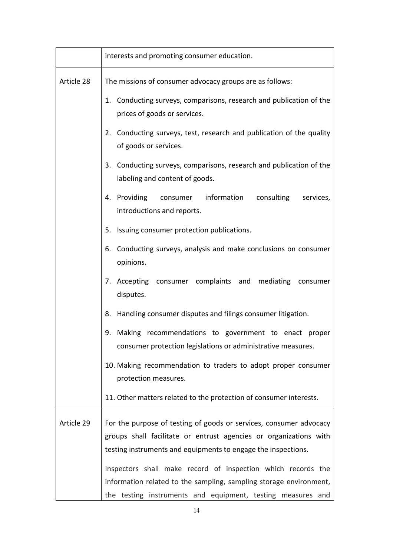|            | interests and promoting consumer education.                                                                                                                                                              |
|------------|----------------------------------------------------------------------------------------------------------------------------------------------------------------------------------------------------------|
| Article 28 | The missions of consumer advocacy groups are as follows:                                                                                                                                                 |
|            | 1. Conducting surveys, comparisons, research and publication of the<br>prices of goods or services.                                                                                                      |
|            | 2. Conducting surveys, test, research and publication of the quality<br>of goods or services.                                                                                                            |
|            | 3. Conducting surveys, comparisons, research and publication of the<br>labeling and content of goods.                                                                                                    |
|            | 4. Providing<br>information<br>consulting<br>services,<br>consumer<br>introductions and reports.                                                                                                         |
|            | 5. Issuing consumer protection publications.                                                                                                                                                             |
|            | Conducting surveys, analysis and make conclusions on consumer<br>6.<br>opinions.                                                                                                                         |
|            | 7. Accepting consumer complaints and mediating consumer<br>disputes.                                                                                                                                     |
|            | Handling consumer disputes and filings consumer litigation.<br>8.                                                                                                                                        |
|            | Making recommendations to government to enact<br>9.<br>proper<br>consumer protection legislations or administrative measures.                                                                            |
|            | 10. Making recommendation to traders to adopt proper consumer<br>protection measures.                                                                                                                    |
|            | 11. Other matters related to the protection of consumer interests.                                                                                                                                       |
| Article 29 | For the purpose of testing of goods or services, consumer advocacy<br>groups shall facilitate or entrust agencies or organizations with<br>testing instruments and equipments to engage the inspections. |
|            | Inspectors shall make record of inspection which records the<br>information related to the sampling, sampling storage environment,<br>the testing instruments and equipment, testing measures and        |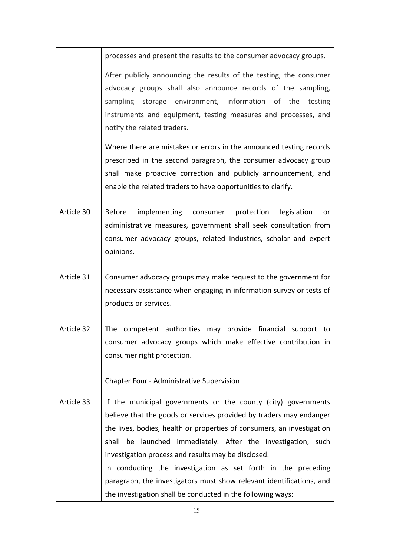|            | processes and present the results to the consumer advocacy groups.                                                                                                                                                                                                                                                                                                                                                                                                                                                                            |
|------------|-----------------------------------------------------------------------------------------------------------------------------------------------------------------------------------------------------------------------------------------------------------------------------------------------------------------------------------------------------------------------------------------------------------------------------------------------------------------------------------------------------------------------------------------------|
|            | After publicly announcing the results of the testing, the consumer<br>advocacy groups shall also announce records of the sampling,<br>sampling storage environment, information of the<br>testing<br>instruments and equipment, testing measures and processes, and<br>notify the related traders.                                                                                                                                                                                                                                            |
|            | Where there are mistakes or errors in the announced testing records<br>prescribed in the second paragraph, the consumer advocacy group<br>shall make proactive correction and publicly announcement, and<br>enable the related traders to have opportunities to clarify.                                                                                                                                                                                                                                                                      |
| Article 30 | <b>Before</b><br>implementing consumer protection<br>legislation<br>or<br>administrative measures, government shall seek consultation from<br>consumer advocacy groups, related Industries, scholar and expert<br>opinions.                                                                                                                                                                                                                                                                                                                   |
| Article 31 | Consumer advocacy groups may make request to the government for<br>necessary assistance when engaging in information survey or tests of<br>products or services.                                                                                                                                                                                                                                                                                                                                                                              |
| Article 32 | The competent authorities may provide financial<br>support to<br>consumer advocacy groups which make effective contribution in<br>consumer right protection.                                                                                                                                                                                                                                                                                                                                                                                  |
|            | Chapter Four - Administrative Supervision                                                                                                                                                                                                                                                                                                                                                                                                                                                                                                     |
| Article 33 | If the municipal governments or the county (city) governments<br>believe that the goods or services provided by traders may endanger<br>the lives, bodies, health or properties of consumers, an investigation<br>shall be launched immediately. After the investigation, such<br>investigation process and results may be disclosed.<br>In conducting the investigation as set forth in the preceding<br>paragraph, the investigators must show relevant identifications, and<br>the investigation shall be conducted in the following ways: |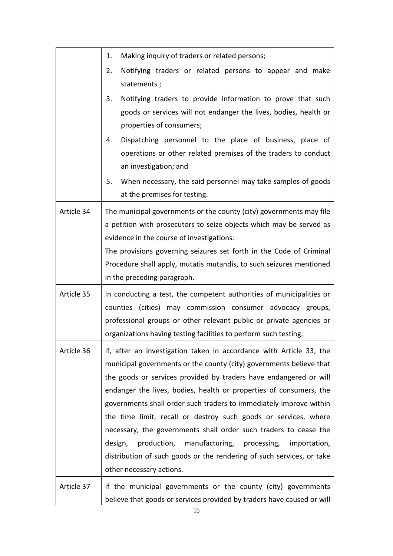|            | Making inquiry of traders or related persons;<br>1.                                                                                                                                                                                                                                                                                                                                                                                                                                                                                                                                                                                                                             |
|------------|---------------------------------------------------------------------------------------------------------------------------------------------------------------------------------------------------------------------------------------------------------------------------------------------------------------------------------------------------------------------------------------------------------------------------------------------------------------------------------------------------------------------------------------------------------------------------------------------------------------------------------------------------------------------------------|
|            | Notifying traders or related persons to appear and make<br>2.<br>statements;                                                                                                                                                                                                                                                                                                                                                                                                                                                                                                                                                                                                    |
|            | 3.<br>Notifying traders to provide information to prove that such<br>goods or services will not endanger the lives, bodies, health or<br>properties of consumers;                                                                                                                                                                                                                                                                                                                                                                                                                                                                                                               |
|            | Dispatching personnel to the place of business, place of<br>4.<br>operations or other related premises of the traders to conduct<br>an investigation; and                                                                                                                                                                                                                                                                                                                                                                                                                                                                                                                       |
|            | When necessary, the said personnel may take samples of goods<br>5.<br>at the premises for testing.                                                                                                                                                                                                                                                                                                                                                                                                                                                                                                                                                                              |
| Article 34 | The municipal governments or the county (city) governments may file<br>a petition with prosecutors to seize objects which may be served as<br>evidence in the course of investigations.<br>The provisions governing seizures set forth in the Code of Criminal<br>Procedure shall apply, mutatis mutandis, to such seizures mentioned<br>in the preceding paragraph.                                                                                                                                                                                                                                                                                                            |
| Article 35 | In conducting a test, the competent authorities of municipalities or<br>counties (cities) may commission consumer advocacy groups,<br>professional groups or other relevant public or private agencies or<br>organizations having testing facilities to perform such testing.                                                                                                                                                                                                                                                                                                                                                                                                   |
| Article 36 | If, after an investigation taken in accordance with Article 33, the<br>municipal governments or the county (city) governments believe that<br>the goods or services provided by traders have endangered or will<br>endanger the lives, bodies, health or properties of consumers, the<br>governments shall order such traders to immediately improve within<br>the time limit, recall or destroy such goods or services, where<br>necessary, the governments shall order such traders to cease the<br>production,<br>design,<br>manufacturing, processing,<br>importation,<br>distribution of such goods or the rendering of such services, or take<br>other necessary actions. |
| Article 37 | If the municipal governments or the county (city) governments<br>believe that goods or services provided by traders have caused or will                                                                                                                                                                                                                                                                                                                                                                                                                                                                                                                                         |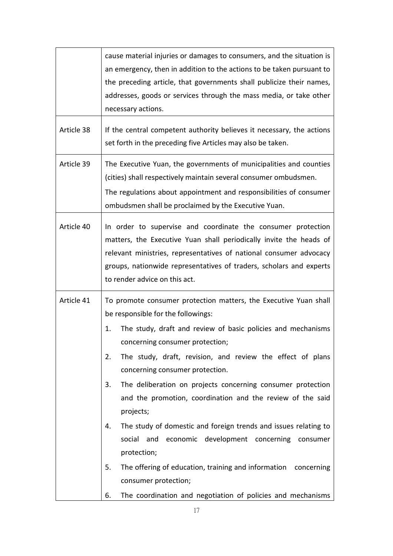|            | cause material injuries or damages to consumers, and the situation is<br>an emergency, then in addition to the actions to be taken pursuant to<br>the preceding article, that governments shall publicize their names,<br>addresses, goods or services through the mass media, or take other<br>necessary actions.                                                                                                                                                                                                                                                                                                                                                                                                                                                                               |
|------------|--------------------------------------------------------------------------------------------------------------------------------------------------------------------------------------------------------------------------------------------------------------------------------------------------------------------------------------------------------------------------------------------------------------------------------------------------------------------------------------------------------------------------------------------------------------------------------------------------------------------------------------------------------------------------------------------------------------------------------------------------------------------------------------------------|
| Article 38 | If the central competent authority believes it necessary, the actions<br>set forth in the preceding five Articles may also be taken.                                                                                                                                                                                                                                                                                                                                                                                                                                                                                                                                                                                                                                                             |
| Article 39 | The Executive Yuan, the governments of municipalities and counties<br>(cities) shall respectively maintain several consumer ombudsmen.<br>The regulations about appointment and responsibilities of consumer<br>ombudsmen shall be proclaimed by the Executive Yuan.                                                                                                                                                                                                                                                                                                                                                                                                                                                                                                                             |
| Article 40 | In order to supervise and coordinate the consumer protection<br>matters, the Executive Yuan shall periodically invite the heads of<br>relevant ministries, representatives of national consumer advocacy<br>groups, nationwide representatives of traders, scholars and experts<br>to render advice on this act.                                                                                                                                                                                                                                                                                                                                                                                                                                                                                 |
| Article 41 | To promote consumer protection matters, the Executive Yuan shall<br>be responsible for the followings:<br>The study, draft and review of basic policies and mechanisms<br>1.<br>concerning consumer protection;<br>The study, draft, revision, and review the effect of plans<br>2.<br>concerning consumer protection.<br>The deliberation on projects concerning consumer protection<br>3.<br>and the promotion, coordination and the review of the said<br>projects;<br>The study of domestic and foreign trends and issues relating to<br>4.<br>economic development concerning consumer<br>social<br>and<br>protection;<br>The offering of education, training and information concerning<br>5.<br>consumer protection;<br>6.<br>The coordination and negotiation of policies and mechanisms |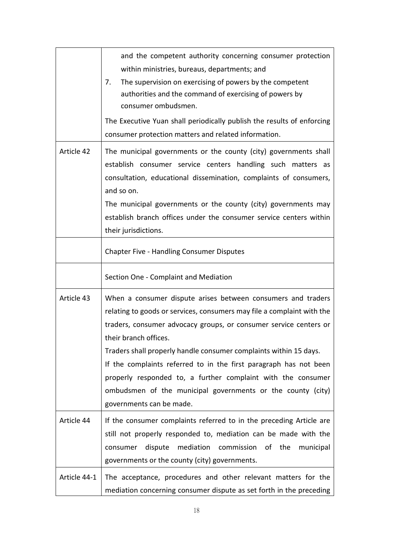|              | and the competent authority concerning consumer protection<br>within ministries, bureaus, departments; and<br>The supervision on exercising of powers by the competent<br>7.<br>authorities and the command of exercising of powers by<br>consumer ombudsmen.<br>The Executive Yuan shall periodically publish the results of enforcing                                                                                                                                                                                                   |
|--------------|-------------------------------------------------------------------------------------------------------------------------------------------------------------------------------------------------------------------------------------------------------------------------------------------------------------------------------------------------------------------------------------------------------------------------------------------------------------------------------------------------------------------------------------------|
|              | consumer protection matters and related information.                                                                                                                                                                                                                                                                                                                                                                                                                                                                                      |
| Article 42   | The municipal governments or the county (city) governments shall<br>establish consumer service centers handling such matters as<br>consultation, educational dissemination, complaints of consumers,<br>and so on.<br>The municipal governments or the county (city) governments may                                                                                                                                                                                                                                                      |
|              | establish branch offices under the consumer service centers within<br>their jurisdictions.                                                                                                                                                                                                                                                                                                                                                                                                                                                |
|              | <b>Chapter Five - Handling Consumer Disputes</b>                                                                                                                                                                                                                                                                                                                                                                                                                                                                                          |
|              | Section One - Complaint and Mediation                                                                                                                                                                                                                                                                                                                                                                                                                                                                                                     |
| Article 43   | When a consumer dispute arises between consumers and traders<br>relating to goods or services, consumers may file a complaint with the<br>traders, consumer advocacy groups, or consumer service centers or<br>their branch offices.<br>Traders shall properly handle consumer complaints within 15 days.<br>If the complaints referred to in the first paragraph has not been<br>properly responded to, a further complaint with the consumer<br>ombudsmen of the municipal governments or the county (city)<br>governments can be made. |
| Article 44   | If the consumer complaints referred to in the preceding Article are<br>still not properly responded to, mediation can be made with the<br>mediation commission of the<br>dispute<br>consumer<br>municipal<br>governments or the county (city) governments.                                                                                                                                                                                                                                                                                |
| Article 44-1 | The acceptance, procedures and other relevant matters for the<br>mediation concerning consumer dispute as set forth in the preceding                                                                                                                                                                                                                                                                                                                                                                                                      |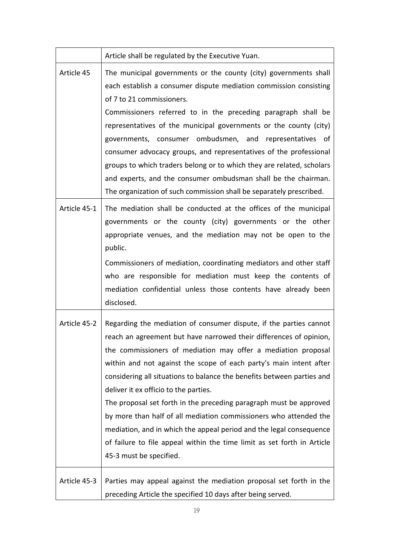|              | Article shall be regulated by the Executive Yuan.                                                                                                                                                                                                                                                                                                                                                                                                                                                                                                                                                                                                                                                                          |
|--------------|----------------------------------------------------------------------------------------------------------------------------------------------------------------------------------------------------------------------------------------------------------------------------------------------------------------------------------------------------------------------------------------------------------------------------------------------------------------------------------------------------------------------------------------------------------------------------------------------------------------------------------------------------------------------------------------------------------------------------|
| Article 45   | The municipal governments or the county (city) governments shall<br>each establish a consumer dispute mediation commission consisting<br>of 7 to 21 commissioners.<br>Commissioners referred to in the preceding paragraph shall be<br>representatives of the municipal governments or the county (city)<br>governments, consumer ombudsmen, and representatives of<br>consumer advocacy groups, and representatives of the professional<br>groups to which traders belong or to which they are related, scholars<br>and experts, and the consumer ombudsman shall be the chairman.<br>The organization of such commission shall be separately prescribed.                                                                 |
| Article 45-1 | The mediation shall be conducted at the offices of the municipal<br>governments or the county (city) governments or the other<br>appropriate venues, and the mediation may not be open to the<br>public.<br>Commissioners of mediation, coordinating mediators and other staff<br>who are responsible for mediation must keep the contents of<br>mediation confidential unless those contents have already been<br>disclosed.                                                                                                                                                                                                                                                                                              |
| Article 45-2 | Regarding the mediation of consumer dispute, if the parties cannot<br>reach an agreement but have narrowed their differences of opinion,<br>the commissioners of mediation may offer a mediation proposal<br>within and not against the scope of each party's main intent after<br>considering all situations to balance the benefits between parties and<br>deliver it ex officio to the parties.<br>The proposal set forth in the preceding paragraph must be approved<br>by more than half of all mediation commissioners who attended the<br>mediation, and in which the appeal period and the legal consequence<br>of failure to file appeal within the time limit as set forth in Article<br>45-3 must be specified. |
| Article 45-3 | Parties may appeal against the mediation proposal set forth in the<br>preceding Article the specified 10 days after being served.                                                                                                                                                                                                                                                                                                                                                                                                                                                                                                                                                                                          |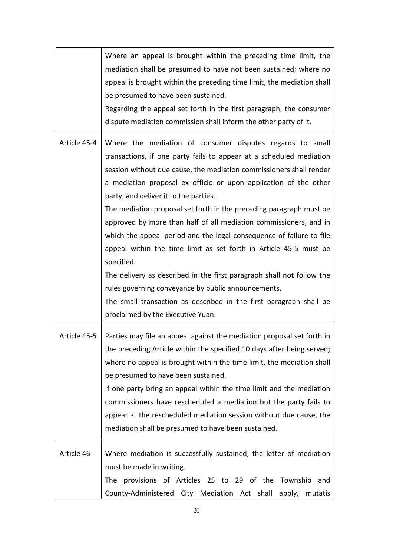|              | Where an appeal is brought within the preceding time limit, the<br>mediation shall be presumed to have not been sustained; where no<br>appeal is brought within the preceding time limit, the mediation shall<br>be presumed to have been sustained.<br>Regarding the appeal set forth in the first paragraph, the consumer<br>dispute mediation commission shall inform the other party of it.                                                                                                                                                                                                                                                                                                                                                                                                                                                                        |
|--------------|------------------------------------------------------------------------------------------------------------------------------------------------------------------------------------------------------------------------------------------------------------------------------------------------------------------------------------------------------------------------------------------------------------------------------------------------------------------------------------------------------------------------------------------------------------------------------------------------------------------------------------------------------------------------------------------------------------------------------------------------------------------------------------------------------------------------------------------------------------------------|
| Article 45-4 | Where the mediation of consumer disputes regards to small<br>transactions, if one party fails to appear at a scheduled mediation<br>session without due cause, the mediation commissioners shall render<br>a mediation proposal ex officio or upon application of the other<br>party, and deliver it to the parties.<br>The mediation proposal set forth in the preceding paragraph must be<br>approved by more than half of all mediation commissioners, and in<br>which the appeal period and the legal consequence of failure to file<br>appeal within the time limit as set forth in Article 45-5 must be<br>specified.<br>The delivery as described in the first paragraph shall not follow the<br>rules governing conveyance by public announcements.<br>The small transaction as described in the first paragraph shall be<br>proclaimed by the Executive Yuan. |
| Article 45-5 | Parties may file an appeal against the mediation proposal set forth in<br>the preceding Article within the specified 10 days after being served;<br>where no appeal is brought within the time limit, the mediation shall<br>be presumed to have been sustained.<br>If one party bring an appeal within the time limit and the mediation<br>commissioners have rescheduled a mediation but the party fails to<br>appear at the rescheduled mediation session without due cause, the<br>mediation shall be presumed to have been sustained.                                                                                                                                                                                                                                                                                                                             |
| Article 46   | Where mediation is successfully sustained, the letter of mediation<br>must be made in writing.<br>provisions of Articles 25 to 29 of the Township<br>The l<br>and<br>County-Administered City Mediation Act shall apply, mutatis                                                                                                                                                                                                                                                                                                                                                                                                                                                                                                                                                                                                                                       |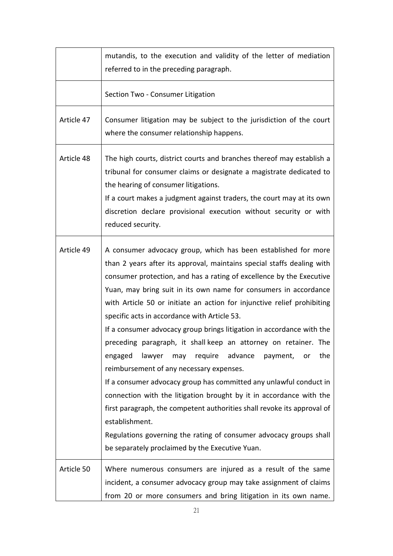|            | mutandis, to the execution and validity of the letter of mediation<br>referred to in the preceding paragraph.                                                                                                                                                                                                                                                                                                                                                                                                                                                                                                                                                                                                                                                                                                                                                                                                                                                                                                                                |
|------------|----------------------------------------------------------------------------------------------------------------------------------------------------------------------------------------------------------------------------------------------------------------------------------------------------------------------------------------------------------------------------------------------------------------------------------------------------------------------------------------------------------------------------------------------------------------------------------------------------------------------------------------------------------------------------------------------------------------------------------------------------------------------------------------------------------------------------------------------------------------------------------------------------------------------------------------------------------------------------------------------------------------------------------------------|
|            | Section Two - Consumer Litigation                                                                                                                                                                                                                                                                                                                                                                                                                                                                                                                                                                                                                                                                                                                                                                                                                                                                                                                                                                                                            |
| Article 47 | Consumer litigation may be subject to the jurisdiction of the court<br>where the consumer relationship happens.                                                                                                                                                                                                                                                                                                                                                                                                                                                                                                                                                                                                                                                                                                                                                                                                                                                                                                                              |
| Article 48 | The high courts, district courts and branches thereof may establish a<br>tribunal for consumer claims or designate a magistrate dedicated to<br>the hearing of consumer litigations.<br>If a court makes a judgment against traders, the court may at its own<br>discretion declare provisional execution without security or with<br>reduced security.                                                                                                                                                                                                                                                                                                                                                                                                                                                                                                                                                                                                                                                                                      |
| Article 49 | A consumer advocacy group, which has been established for more<br>than 2 years after its approval, maintains special staffs dealing with<br>consumer protection, and has a rating of excellence by the Executive<br>Yuan, may bring suit in its own name for consumers in accordance<br>with Article 50 or initiate an action for injunctive relief prohibiting<br>specific acts in accordance with Article 53.<br>If a consumer advocacy group brings litigation in accordance with the<br>preceding paragraph, it shall keep an attorney on retainer. The<br>lawyer may require advance<br>engaged<br>payment,<br>the<br>or<br>reimbursement of any necessary expenses.<br>If a consumer advocacy group has committed any unlawful conduct in<br>connection with the litigation brought by it in accordance with the<br>first paragraph, the competent authorities shall revoke its approval of<br>establishment.<br>Regulations governing the rating of consumer advocacy groups shall<br>be separately proclaimed by the Executive Yuan. |
| Article 50 | Where numerous consumers are injured as a result of the same<br>incident, a consumer advocacy group may take assignment of claims<br>from 20 or more consumers and bring litigation in its own name.                                                                                                                                                                                                                                                                                                                                                                                                                                                                                                                                                                                                                                                                                                                                                                                                                                         |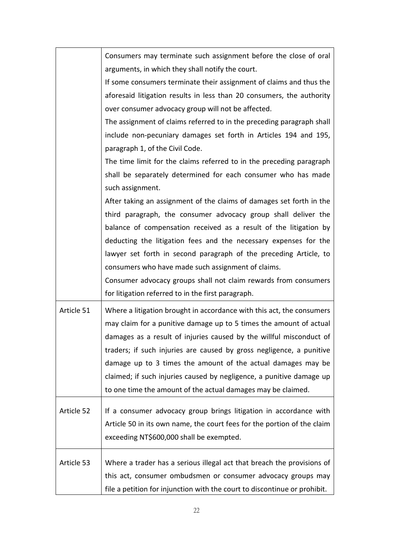|            | Consumers may terminate such assignment before the close of oral          |
|------------|---------------------------------------------------------------------------|
|            | arguments, in which they shall notify the court.                          |
|            | If some consumers terminate their assignment of claims and thus the       |
|            | aforesaid litigation results in less than 20 consumers, the authority     |
|            | over consumer advocacy group will not be affected.                        |
|            | The assignment of claims referred to in the preceding paragraph shall     |
|            | include non-pecuniary damages set forth in Articles 194 and 195,          |
|            | paragraph 1, of the Civil Code.                                           |
|            | The time limit for the claims referred to in the preceding paragraph      |
|            | shall be separately determined for each consumer who has made             |
|            | such assignment.                                                          |
|            | After taking an assignment of the claims of damages set forth in the      |
|            | third paragraph, the consumer advocacy group shall deliver the            |
|            | balance of compensation received as a result of the litigation by         |
|            | deducting the litigation fees and the necessary expenses for the          |
|            | lawyer set forth in second paragraph of the preceding Article, to         |
|            | consumers who have made such assignment of claims.                        |
|            | Consumer advocacy groups shall not claim rewards from consumers           |
|            | for litigation referred to in the first paragraph.                        |
| Article 51 | Where a litigation brought in accordance with this act, the consumers     |
|            | may claim for a punitive damage up to 5 times the amount of actual        |
|            | damages as a result of injuries caused by the willful misconduct of       |
|            | traders; if such injuries are caused by gross negligence, a punitive      |
|            | damage up to 3 times the amount of the actual damages may be              |
|            | claimed; if such injuries caused by negligence, a punitive damage up      |
|            | to one time the amount of the actual damages may be claimed.              |
| Article 52 | If a consumer advocacy group brings litigation in accordance with         |
|            | Article 50 in its own name, the court fees for the portion of the claim   |
|            | exceeding NT\$600,000 shall be exempted.                                  |
|            |                                                                           |
| Article 53 | Where a trader has a serious illegal act that breach the provisions of    |
|            | this act, consumer ombudsmen or consumer advocacy groups may              |
|            | file a petition for injunction with the court to discontinue or prohibit. |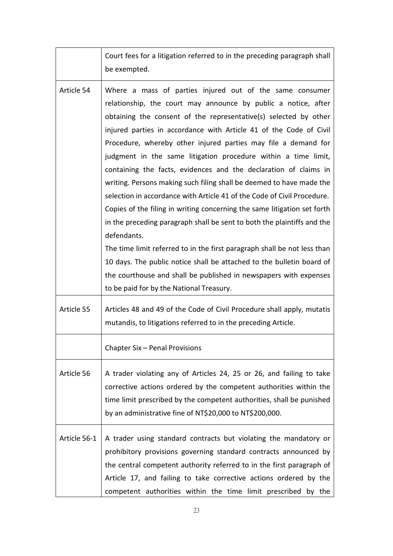|              | Court fees for a litigation referred to in the preceding paragraph shall                                                                                                                                                                                                                                                                                                                                                                                                                                                                                                                                                                                                                                                                                                                                                                                                                                                                                                                                                                                                    |
|--------------|-----------------------------------------------------------------------------------------------------------------------------------------------------------------------------------------------------------------------------------------------------------------------------------------------------------------------------------------------------------------------------------------------------------------------------------------------------------------------------------------------------------------------------------------------------------------------------------------------------------------------------------------------------------------------------------------------------------------------------------------------------------------------------------------------------------------------------------------------------------------------------------------------------------------------------------------------------------------------------------------------------------------------------------------------------------------------------|
|              | be exempted.                                                                                                                                                                                                                                                                                                                                                                                                                                                                                                                                                                                                                                                                                                                                                                                                                                                                                                                                                                                                                                                                |
| Article 54   | Where a mass of parties injured out of the same consumer<br>relationship, the court may announce by public a notice, after<br>obtaining the consent of the representative(s) selected by other<br>injured parties in accordance with Article 41 of the Code of Civil<br>Procedure, whereby other injured parties may file a demand for<br>judgment in the same litigation procedure within a time limit,<br>containing the facts, evidences and the declaration of claims in<br>writing. Persons making such filing shall be deemed to have made the<br>selection in accordance with Article 41 of the Code of Civil Procedure.<br>Copies of the filing in writing concerning the same litigation set forth<br>in the preceding paragraph shall be sent to both the plaintiffs and the<br>defendants.<br>The time limit referred to in the first paragraph shall be not less than<br>10 days. The public notice shall be attached to the bulletin board of<br>the courthouse and shall be published in newspapers with expenses<br>to be paid for by the National Treasury. |
| Article 55   | Articles 48 and 49 of the Code of Civil Procedure shall apply, mutatis<br>mutandis, to litigations referred to in the preceding Article.                                                                                                                                                                                                                                                                                                                                                                                                                                                                                                                                                                                                                                                                                                                                                                                                                                                                                                                                    |
|              | Chapter Six - Penal Provisions                                                                                                                                                                                                                                                                                                                                                                                                                                                                                                                                                                                                                                                                                                                                                                                                                                                                                                                                                                                                                                              |
| Article 56   | A trader violating any of Articles 24, 25 or 26, and failing to take<br>corrective actions ordered by the competent authorities within the<br>time limit prescribed by the competent authorities, shall be punished<br>by an administrative fine of NT\$20,000 to NT\$200,000.                                                                                                                                                                                                                                                                                                                                                                                                                                                                                                                                                                                                                                                                                                                                                                                              |
| Article 56-1 | A trader using standard contracts but violating the mandatory or<br>prohibitory provisions governing standard contracts announced by<br>the central competent authority referred to in the first paragraph of<br>Article 17, and failing to take corrective actions ordered by the<br>competent authorities within the time limit prescribed by the                                                                                                                                                                                                                                                                                                                                                                                                                                                                                                                                                                                                                                                                                                                         |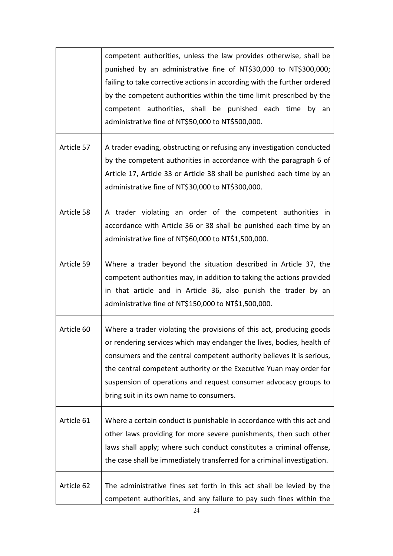|            | competent authorities, unless the law provides otherwise, shall be<br>punished by an administrative fine of NT\$30,000 to NT\$300,000;<br>failing to take corrective actions in according with the further ordered<br>by the competent authorities within the time limit prescribed by the<br>competent authorities, shall be punished each time<br>by an<br>administrative fine of NT\$50,000 to NT\$500,000. |
|------------|----------------------------------------------------------------------------------------------------------------------------------------------------------------------------------------------------------------------------------------------------------------------------------------------------------------------------------------------------------------------------------------------------------------|
| Article 57 | A trader evading, obstructing or refusing any investigation conducted<br>by the competent authorities in accordance with the paragraph 6 of<br>Article 17, Article 33 or Article 38 shall be punished each time by an<br>administrative fine of NT\$30,000 to NT\$300,000.                                                                                                                                     |
| Article 58 | A trader violating an order of the competent authorities in<br>accordance with Article 36 or 38 shall be punished each time by an<br>administrative fine of NT\$60,000 to NT\$1,500,000.                                                                                                                                                                                                                       |
| Article 59 | Where a trader beyond the situation described in Article 37, the<br>competent authorities may, in addition to taking the actions provided<br>in that article and in Article 36, also punish the trader by an<br>administrative fine of NT\$150,000 to NT\$1,500,000.                                                                                                                                           |
| Article 60 | Where a trader violating the provisions of this act, producing goods<br>or rendering services which may endanger the lives, bodies, health of<br>consumers and the central competent authority believes it is serious,<br>the central competent authority or the Executive Yuan may order for<br>suspension of operations and request consumer advocacy groups to<br>bring suit in its own name to consumers.  |
| Article 61 | Where a certain conduct is punishable in accordance with this act and<br>other laws providing for more severe punishments, then such other<br>laws shall apply; where such conduct constitutes a criminal offense,<br>the case shall be immediately transferred for a criminal investigation.                                                                                                                  |
| Article 62 | The administrative fines set forth in this act shall be levied by the<br>competent authorities, and any failure to pay such fines within the                                                                                                                                                                                                                                                                   |